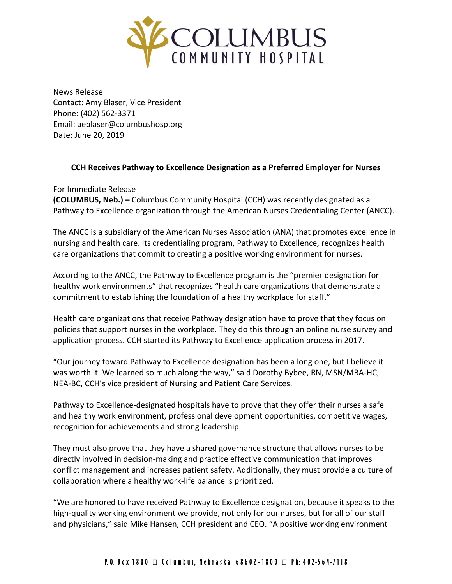

News Release Contact: Amy Blaser, Vice President Phone: (402) 562-3371 Email: [aeblaser@columbushosp.org](mailto:aeblaser@columbushosp.org) Date: June 20, 2019

## **CCH Receives Pathway to Excellence Designation as a Preferred Employer for Nurses**

For Immediate Release **(COLUMBUS, Neb.) –** Columbus Community Hospital (CCH) was recently designated as a Pathway to Excellence organization through the American Nurses Credentialing Center (ANCC).

The ANCC is a subsidiary of the American Nurses Association (ANA) that promotes excellence in nursing and health care. Its credentialing program, Pathway to Excellence, recognizes health care organizations that commit to creating a positive working environment for nurses.

According to the ANCC, the Pathway to Excellence program is the "premier designation for healthy work environments" that recognizes "health care organizations that demonstrate a commitment to establishing the foundation of a healthy workplace for staff."

Health care organizations that receive Pathway designation have to prove that they focus on policies that support nurses in the workplace. They do this through an online nurse survey and application process. CCH started its Pathway to Excellence application process in 2017.

"Our journey toward Pathway to Excellence designation has been a long one, but I believe it was worth it. We learned so much along the way," said Dorothy Bybee, RN, MSN/MBA-HC, NEA-BC, CCH's vice president of Nursing and Patient Care Services.

Pathway to Excellence-designated hospitals have to prove that they offer their nurses a safe and healthy work environment, professional development opportunities, competitive wages, recognition for achievements and strong leadership.

They must also prove that they have a shared governance structure that allows nurses to be directly involved in decision-making and practice effective communication that improves conflict management and increases patient safety. Additionally, they must provide a culture of collaboration where a healthy work-life balance is prioritized.

"We are honored to have received Pathway to Excellence designation, because it speaks to the high-quality working environment we provide, not only for our nurses, but for all of our staff and physicians," said Mike Hansen, CCH president and CEO. "A positive working environment

## P.O. Box 1800 □ Columbus, Nebraska 68602-1800 □ Ph: 402-564-7118